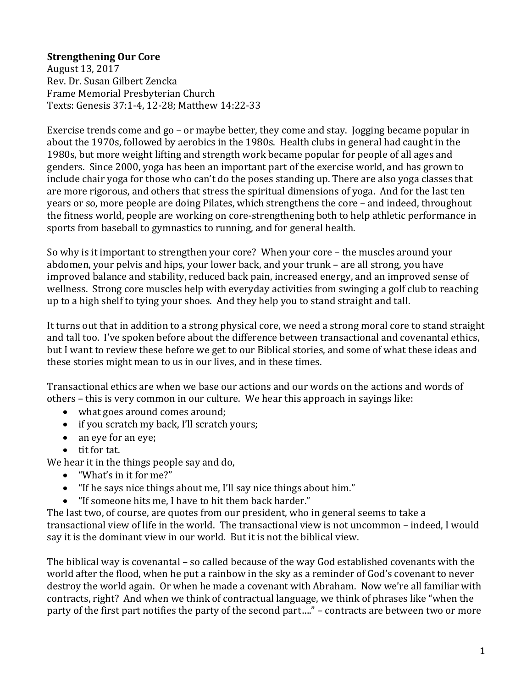## **Strengthening Our Core**

August 13, 2017 Rev. Dr. Susan Gilbert Zencka Frame Memorial Presbyterian Church Texts: Genesis 37:1-4, 12-28; Matthew 14:22-33

Exercise trends come and go – or maybe better, they come and stay. Jogging became popular in about the 1970s, followed by aerobics in the 1980s. Health clubs in general had caught in the 1980s, but more weight lifting and strength work became popular for people of all ages and genders. Since 2000, yoga has been an important part of the exercise world, and has grown to include chair yoga for those who can't do the poses standing up. There are also yoga classes that are more rigorous, and others that stress the spiritual dimensions of yoga. And for the last ten years or so, more people are doing Pilates, which strengthens the core – and indeed, throughout the fitness world, people are working on core-strengthening both to help athletic performance in sports from baseball to gymnastics to running, and for general health.

So why is it important to strengthen your core? When your core – the muscles around your abdomen, your pelvis and hips, your lower back, and your trunk – are all strong, you have improved balance and stability, reduced back pain, increased energy, and an improved sense of wellness. Strong core muscles help with everyday activities from swinging a golf club to reaching up to a high shelf to tying your shoes. And they help you to stand straight and tall.

It turns out that in addition to a strong physical core, we need a strong moral core to stand straight and tall too. I've spoken before about the difference between transactional and covenantal ethics, but I want to review these before we get to our Biblical stories, and some of what these ideas and these stories might mean to us in our lives, and in these times.

Transactional ethics are when we base our actions and our words on the actions and words of others – this is very common in our culture. We hear this approach in sayings like:

- what goes around comes around;
- if you scratch my back, I'll scratch yours;
- an eye for an eye;
- $\bullet$  tit for tat.

We hear it in the things people say and do,

- $\bullet$  "What's in it for me?"
- "If he says nice things about me, I'll say nice things about him."
- "If someone hits me, I have to hit them back harder."

The last two, of course, are quotes from our president, who in general seems to take a transactional view of life in the world. The transactional view is not uncommon – indeed, I would say it is the dominant view in our world. But it is not the biblical view.

The biblical way is covenantal  $-$  so called because of the way God established covenants with the world after the flood, when he put a rainbow in the sky as a reminder of God's covenant to never destroy the world again. Or when he made a covenant with Abraham. Now we're all familiar with contracts, right? And when we think of contractual language, we think of phrases like "when the party of the first part notifies the party of the second part...." – contracts are between two or more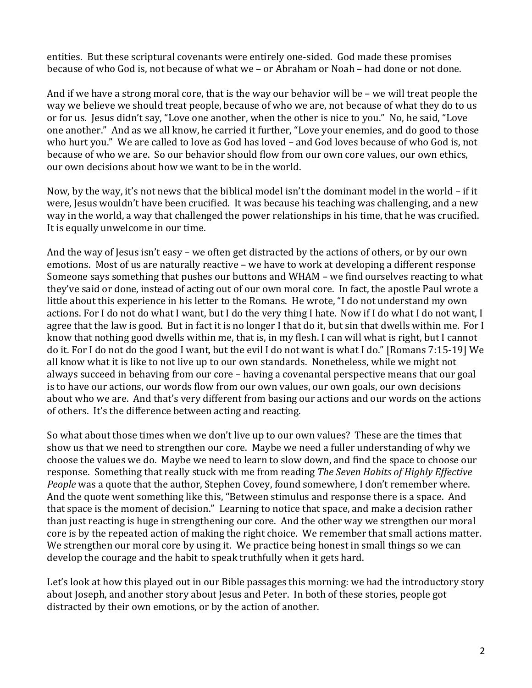entities. But these scriptural covenants were entirely one-sided. God made these promises because of who God is, not because of what we – or Abraham or Noah – had done or not done.

And if we have a strong moral core, that is the way our behavior will be  $-$  we will treat people the way we believe we should treat people, because of who we are, not because of what they do to us or for us. Jesus didn't say, "Love one another, when the other is nice to you." No, he said, "Love one another." And as we all know, he carried it further, "Love your enemies, and do good to those who hurt you." We are called to love as God has loved – and God loves because of who God is, not because of who we are. So our behavior should flow from our own core values, our own ethics, our own decisions about how we want to be in the world.

Now, by the way, it's not news that the biblical model isn't the dominant model in the world  $-$  if it were, Jesus wouldn't have been crucified. It was because his teaching was challenging, and a new way in the world, a way that challenged the power relationships in his time, that he was crucified. It is equally unwelcome in our time.

And the way of Jesus isn't easy – we often get distracted by the actions of others, or by our own emotions. Most of us are naturally reactive - we have to work at developing a different response Someone says something that pushes our buttons and WHAM – we find ourselves reacting to what they've said or done, instead of acting out of our own moral core. In fact, the apostle Paul wrote a little about this experience in his letter to the Romans. He wrote, "I do not understand my own actions. For I do not do what I want, but I do the very thing I hate. Now if I do what I do not want, I agree that the law is good. But in fact it is no longer I that do it, but sin that dwells within me. For I know that nothing good dwells within me, that is, in my flesh. I can will what is right, but I cannot do it. For I do not do the good I want, but the evil I do not want is what I do." [Romans 7:15-19] We all know what it is like to not live up to our own standards. Nonetheless, while we might not always succeed in behaving from our core – having a covenantal perspective means that our goal is to have our actions, our words flow from our own values, our own goals, our own decisions about who we are. And that's very different from basing our actions and our words on the actions of others. It's the difference between acting and reacting.

So what about those times when we don't live up to our own values? These are the times that show us that we need to strengthen our core. Maybe we need a fuller understanding of why we choose the values we do. Maybe we need to learn to slow down, and find the space to choose our response. Something that really stuck with me from reading *The Seven Habits of Highly Effective People* was a quote that the author, Stephen Covey, found somewhere, I don't remember where. And the quote went something like this, "Between stimulus and response there is a space. And that space is the moment of decision." Learning to notice that space, and make a decision rather than just reacting is huge in strengthening our core. And the other way we strengthen our moral core is by the repeated action of making the right choice. We remember that small actions matter. We strengthen our moral core by using it. We practice being honest in small things so we can develop the courage and the habit to speak truthfully when it gets hard.

Let's look at how this played out in our Bible passages this morning: we had the introductory story about Joseph, and another story about Jesus and Peter. In both of these stories, people got distracted by their own emotions, or by the action of another.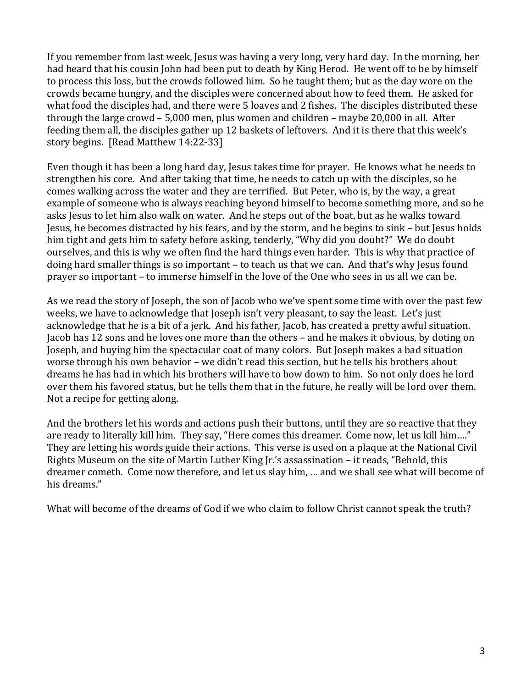If you remember from last week, Jesus was having a very long, very hard day. In the morning, her had heard that his cousin John had been put to death by King Herod. He went off to be by himself to process this loss, but the crowds followed him. So he taught them; but as the day wore on the crowds became hungry, and the disciples were concerned about how to feed them. He asked for what food the disciples had, and there were 5 loaves and 2 fishes. The disciples distributed these through the large crowd  $- 5,000$  men, plus women and children  $-$  maybe 20,000 in all. After feeding them all, the disciples gather up 12 baskets of leftovers. And it is there that this week's story begins. [Read Matthew 14:22-33]

Even though it has been a long hard day, Jesus takes time for prayer. He knows what he needs to strengthen his core. And after taking that time, he needs to catch up with the disciples, so he comes walking across the water and they are terrified. But Peter, who is, by the way, a great example of someone who is always reaching beyond himself to become something more, and so he asks Jesus to let him also walk on water. And he steps out of the boat, but as he walks toward Jesus, he becomes distracted by his fears, and by the storm, and he begins to sink – but Jesus holds him tight and gets him to safety before asking, tenderly, "Why did you doubt?" We do doubt ourselves, and this is why we often find the hard things even harder. This is why that practice of doing hard smaller things is so important – to teach us that we can. And that's why Jesus found prayer so important – to immerse himself in the love of the One who sees in us all we can be.

As we read the story of Joseph, the son of Jacob who we've spent some time with over the past few weeks, we have to acknowledge that Joseph isn't very pleasant, to say the least. Let's just acknowledge that he is a bit of a jerk. And his father, Jacob, has created a pretty awful situation. Jacob has 12 sons and he loves one more than the others – and he makes it obvious, by doting on Joseph, and buying him the spectacular coat of many colors. But Joseph makes a bad situation worse through his own behavior - we didn't read this section, but he tells his brothers about dreams he has had in which his brothers will have to bow down to him. So not only does he lord over them his favored status, but he tells them that in the future, he really will be lord over them. Not a recipe for getting along.

And the brothers let his words and actions push their buttons, until they are so reactive that they are ready to literally kill him. They say, "Here comes this dreamer. Come now, let us kill him...." They are letting his words guide their actions. This verse is used on a plaque at the National Civil Rights Museum on the site of Martin Luther King  $\Gamma$ .'s assassination – it reads, "Behold, this dreamer cometh. Come now therefore, and let us slay him, ... and we shall see what will become of his dreams."

What will become of the dreams of God if we who claim to follow Christ cannot speak the truth?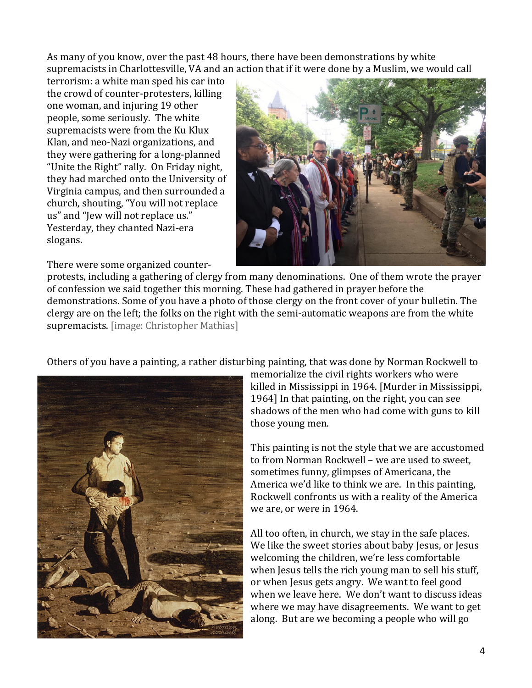As many of you know, over the past 48 hours, there have been demonstrations by white supremacists in Charlottesville, VA and an action that if it were done by a Muslim, we would call

terrorism: a white man sped his car into the crowd of counter-protesters, killing one woman, and injuring 19 other people, some seriously. The white supremacists were from the Ku Klux Klan, and neo-Nazi organizations, and they were gathering for a long-planned "Unite the Right" rally. On Friday night, they had marched onto the University of Virginia campus, and then surrounded a church, shouting, "You will not replace us" and "Jew will not replace us." Yesterday, they chanted Nazi-era slogans. 

There were some organized counter-



protests, including a gathering of clergy from many denominations. One of them wrote the prayer of confession we said together this morning. These had gathered in prayer before the demonstrations. Some of you have a photo of those clergy on the front cover of your bulletin. The clergy are on the left; the folks on the right with the semi-automatic weapons are from the white supremacists. [image: Christopher Mathias]

Others of you have a painting, a rather disturbing painting, that was done by Norman Rockwell to



memorialize the civil rights workers who were killed in Mississippi in 1964. [Murder in Mississippi, 1964] In that painting, on the right, you can see shadows of the men who had come with guns to kill those young men.

This painting is not the style that we are accustomed to from Norman Rockwell – we are used to sweet. sometimes funny, glimpses of Americana, the America we'd like to think we are. In this painting, Rockwell confronts us with a reality of the America we are, or were in 1964.

All too often, in church, we stay in the safe places. We like the sweet stories about baby Jesus, or Jesus welcoming the children, we're less comfortable when Jesus tells the rich young man to sell his stuff, or when Jesus gets angry. We want to feel good when we leave here. We don't want to discuss ideas where we may have disagreements. We want to get along. But are we becoming a people who will go